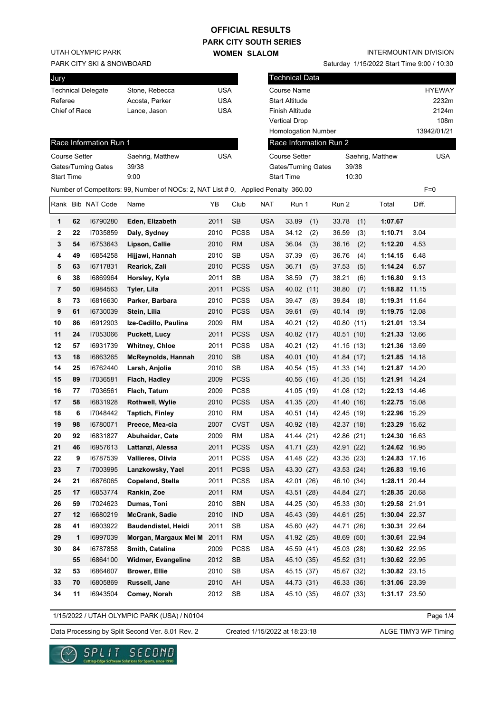## **PARK CITY SOUTH SERIES OFFICIAL RESULTS**

**WOMEN SLALOM** 

UTAH OLYMPIC PARK

#### PARK CITY SKI & SNOWBOARD

| Jury                      |                |     |
|---------------------------|----------------|-----|
| <b>Technical Delegate</b> | Stone, Rebecca | USA |
| Referee                   | Acosta, Parker | USA |
| Chief of Race             | Lance, Jason   | USA |
|                           |                |     |

### INTERMOUNTAIN DIVISION

Saturday 1/15/2022 Start Time 9:00 / 10:30

| Jury                 |    |                           |                                                                                    |            |             |            | <b>Technical Data</b>      |            |                       |               |
|----------------------|----|---------------------------|------------------------------------------------------------------------------------|------------|-------------|------------|----------------------------|------------|-----------------------|---------------|
|                      |    | <b>Technical Delegate</b> | Stone, Rebecca                                                                     | USA        |             |            | Course Name                |            |                       | <b>HYEWAY</b> |
| Referee              |    |                           | Acosta, Parker                                                                     | USA        |             |            | <b>Start Altitude</b>      |            |                       | 2232m         |
| Chief of Race        |    |                           | Lance, Jason                                                                       | <b>USA</b> |             |            | Finish Altitude            |            |                       | 2124m         |
|                      |    |                           |                                                                                    |            |             |            | <b>Vertical Drop</b>       |            |                       | 108m          |
|                      |    |                           |                                                                                    |            |             |            | <b>Homologation Number</b> |            |                       | 13942/01/21   |
|                      |    | Race Information Run 1    |                                                                                    |            |             |            | Race Information Run 2     |            |                       |               |
| <b>Course Setter</b> |    |                           | Saehrig, Matthew                                                                   | <b>USA</b> |             |            | <b>Course Setter</b>       |            | Saehrig, Matthew      | <b>USA</b>    |
|                      |    | Gates/Turning Gates       | 39/38                                                                              |            |             |            | Gates/Turning Gates        | 39/38      |                       |               |
| <b>Start Time</b>    |    |                           | 9:00                                                                               |            |             |            | <b>Start Time</b>          | 10:30      |                       |               |
|                      |    |                           | Number of Competitors: 99, Number of NOCs: 2, NAT List # 0, Applied Penalty 360.00 |            |             |            |                            |            |                       | $F=0$         |
|                      |    | Rank Bib NAT Code         | Name                                                                               | YΒ         | Club        | <b>NAT</b> | Run 1                      | Run 2      | Total                 | Diff.         |
| 1                    | 62 | 16790280                  | Eden, Elizabeth                                                                    | 2011       | <b>SB</b>   | <b>USA</b> | 33.89<br>(1)               | 33.78      | (1)<br>1:07.67        |               |
| 2                    | 22 | 17035859                  | Daly, Sydney                                                                       | 2010       | <b>PCSS</b> | <b>USA</b> | 34.12<br>(2)               | 36.59      | 1:10.71<br>(3)        | 3.04          |
| 3                    | 54 | 16753643                  | Lipson, Callie                                                                     | 2010       | <b>RM</b>   | <b>USA</b> | 36.04<br>(3)               | 36.16      | (2)<br>1:12.20        | 4.53          |
| 4                    | 49 | 16854258                  | Hijjawi, Hannah                                                                    | 2010       | SB          | <b>USA</b> | 37.39<br>(6)               | 36.76      | (4)<br>1:14.15        | 6.48          |
| 5                    | 63 | 16717831                  | Rearick, Zali                                                                      | 2010       | <b>PCSS</b> | <b>USA</b> | 36.71<br>(5)               | 37.53      | (5)<br>1:14.24        | 6.57          |
| 6                    | 38 | 16869964                  | Horsley, Kyla                                                                      | 2011       | SB          | <b>USA</b> | 38.59<br>(7)               | 38.21      | 1:16.80<br>(6)        | 9.13          |
| 7                    | 50 | 16984563                  | Tyler, Lila                                                                        | 2011       | <b>PCSS</b> | <b>USA</b> | 40.02 (11)                 | 38.80      | (7)<br>1:18.82        | 11.15         |
| 8                    | 73 | 16816630                  | Parker, Barbara                                                                    | 2010       | <b>PCSS</b> | <b>USA</b> | 39.47<br>(8)               | 39.84      | 1:19.31<br>(8)        | 11.64         |
| 9                    | 61 | 16730039                  | Stein, Lilia                                                                       | 2010       | <b>PCSS</b> | <b>USA</b> | 39.61<br>(9)               | 40.14      | 1:19.75 12.08<br>(9)  |               |
| 10                   | 86 | 16912903                  | Ize-Cedillo, Paulina                                                               | 2009       | <b>RM</b>   | <b>USA</b> | 40.21 (12)                 | 40.80      | 1:21.01 13.34<br>(11) |               |
| 11                   | 24 | 17053066                  | <b>Puckett, Lucy</b>                                                               | 2011       | <b>PCSS</b> | <b>USA</b> | 40.82 (17)                 | 40.51 (10) | 1:21.33 13.66         |               |
| 12                   | 57 | 16931739                  | <b>Whitney, Chloe</b>                                                              | 2011       | <b>PCSS</b> | <b>USA</b> | 40.21 (12)                 | 41.15 (13) | 1:21.36 13.69         |               |
| 13                   | 18 | 16863265                  | <b>McReynolds, Hannah</b>                                                          | 2010       | <b>SB</b>   | <b>USA</b> | 40.01 (10)                 | 41.84 (17) | 1:21.85 14.18         |               |
| 14                   | 25 | 16762440                  | Larsh, Anjolie                                                                     | 2010       | SB          | <b>USA</b> | 40.54 (15)                 | 41.33 (14) | 1:21.87 14.20         |               |
| 15                   | 89 | 17036581                  | Flach, Hadley                                                                      | 2009       | <b>PCSS</b> |            | 40.56 (16)                 | 41.35 (15) | 1:21.91 14.24         |               |
| 16                   | 77 | 17036561                  | Flach, Tatum                                                                       | 2009       | <b>PCSS</b> |            | 41.05 (19)                 | 41.08 (12) | 1:22.13 14.46         |               |
| 17                   | 58 | 16831928                  | Rothwell, Wylie                                                                    | 2010       | <b>PCSS</b> | <b>USA</b> | 41.35 (20)                 | 41.40 (16) | 1:22.75 15.08         |               |
| 18                   | 6  | 17048442                  | <b>Taptich, Finley</b>                                                             | 2010       | <b>RM</b>   | <b>USA</b> | 40.51 (14)                 | 42.45 (19) | 1:22.96 15.29         |               |
| 19                   | 98 | 16780071                  | Preece, Mea-cia                                                                    | 2007       | <b>CVST</b> | <b>USA</b> | 40.92 (18)                 | 42.37 (18) | 1:23.29 15.62         |               |
| 20                   | 92 | 16831827                  | Abuhaidar, Cate                                                                    | 2009       | <b>RM</b>   | <b>USA</b> | 41.44 (21)                 | 42.86 (21) | 1:24.30 16.63         |               |
| 21                   | 46 | 16957613                  | Lattanzi, Alessa                                                                   | 2011       | <b>PCSS</b> | <b>USA</b> | 41.71 (23)                 | 42.91 (22) | 1:24.62 16.95         |               |
| 22                   | 9  | 16787539                  | Vallieres, Olivia                                                                  | 2011       | <b>PCSS</b> | <b>USA</b> | 41.48 (22)                 | 43.35 (23) | 1:24.83 17.16         |               |
| 23                   | 7  | 17003995                  | Lanzkowsky, Yael                                                                   | 2011       | <b>PCSS</b> | <b>USA</b> | 43.30 (27)                 | 43.53 (24) | 1:26.83 19.16         |               |
| 24                   | 21 | 16876065                  | Copeland, Stella                                                                   | 2011       | <b>PCSS</b> | <b>USA</b> | 42.01 (26)                 | 46.10 (34) | 1:28.11 20.44         |               |
| 25                   | 17 | 16853774                  | Rankin, Zoe                                                                        | 2011       | <b>RM</b>   | <b>USA</b> | 43.51 (28)                 | 44.84 (27) | 1:28.35 20.68         |               |
| 26                   | 59 | 17024623                  | Dumas, Toni                                                                        | 2010       | SBN         | USA        | 44.25 (30)                 | 45.33 (30) | 1:29.58 21.91         |               |
| 27                   | 12 | 16680219                  | McCrank, Sadie                                                                     | 2010       | <b>IND</b>  | <b>USA</b> | 45.43 (39)                 | 44.61 (25) | 1:30.04 22.37         |               |
| 28                   | 41 | 16903922                  | Baudendistel, Heidi                                                                | 2011       | SB          | <b>USA</b> | 45.60 (42)                 | 44.71 (26) | 1:30.31 22.64         |               |
| 29                   | 1  | 16997039                  | Morgan, Margaux Mei M                                                              | 2011       | <b>RM</b>   | <b>USA</b> | 41.92 (25)                 | 48.69 (50) | 1:30.61 22.94         |               |
| 30                   | 84 | 16787858                  | Smith, Catalina                                                                    | 2009       | <b>PCSS</b> | <b>USA</b> | 45.59 (41)                 | 45.03 (28) | 1:30.62 22.95         |               |
|                      | 55 | 16864100                  | Widmer, Evangeline                                                                 | 2012       | SB          | <b>USA</b> | 45.10 (35)                 | 45.52 (31) | 1:30.62 22.95         |               |
| 32                   | 53 | 16864607                  | <b>Brower, Ellie</b>                                                               | 2010       | SB          | <b>USA</b> | 45.15 (37)                 | 45.67 (32) | 1:30.82 23.15         |               |
| 33                   | 70 | 16805869                  | Russell, Jane                                                                      | 2010       | AH          | <b>USA</b> | 44.73 (31)                 | 46.33 (36) | 1:31.06 23.39         |               |
| 34                   | 11 | 16943504                  | Comey, Norah                                                                       | 2012       | SB          | <b>USA</b> | 45.10 (35)                 | 46.07 (33) | 1:31.17 23.50         |               |

1/15/2022 / UTAH OLYMPIC PARK (USA) / N0104

Page 1/4

Data Processing by Split Second Ver. 8.01 Rev. 2 Created 1/15/2022 at 18:23:18 ALGE TIMY3 WP Timing



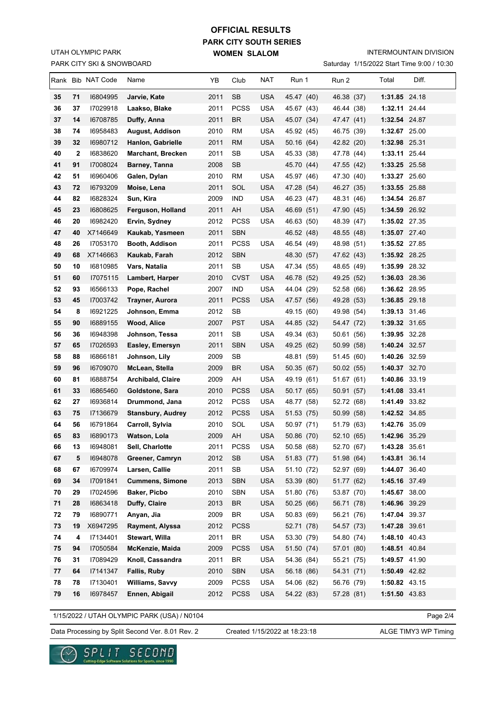## PARK CITY SKI & SNOWBOARD UTAH OLYMPIC PARK

# **PARK CITY SOUTH SERIES WOMEN SLALOM OFFICIAL RESULTS**

INTERMOUNTAIN DIVISION

Saturday 1/15/2022 Start Time 9:00 / 10:30

|          |              | Rank Bib NAT Code    | Name                                     | YΒ           | Club             | NAT               | Run 1                    | Run 2                    | Diff.<br>Total                 |
|----------|--------------|----------------------|------------------------------------------|--------------|------------------|-------------------|--------------------------|--------------------------|--------------------------------|
| 35       | 71           | 16804995             | Jarvie, Kate                             | 2011         | SB               | <b>USA</b>        | 45.47 (40)               | 46.38 (37)               | 1:31.85 24.18                  |
| 36       | 37           | 17029918             | Laakso, Blake                            | 2011         | <b>PCSS</b>      | <b>USA</b>        | 45.67 (43)               | 46.44 (38)               | 1:32.11 24.44                  |
| 37       | 14           | 16708785             | Duffy, Anna                              | 2011         | <b>BR</b>        | <b>USA</b>        | 45.07 (34)               | 47.47 (41)               | 1:32.54 24.87                  |
| 38       | 74           | 16958483             | August, Addison                          | 2010         | RM               | <b>USA</b>        | 45.92 (45)               | 46.75 (39)               | 1:32.67 25.00                  |
| 39       | 32           | 16980712             | Hanlon, Gabrielle                        | 2011         | RM               | USA               | 50.16 (64)               | 42.82 (20)               | 1:32.98 25.31                  |
| 40       | $\mathbf{2}$ | 16838620             | <b>Marchant, Brecken</b>                 | 2011         | SB               | <b>USA</b>        | 45.33 (38)               | 47.78 (44)               | 1:33.11 25.44                  |
| 41       | 91           | 17008024             | Barney, Tanna                            | 2008         | SB               |                   | 45.70 (44)               | 47.55 (42)               | 1:33.25 25.58                  |
| 42       | 51           | 16960406             | Galen, Dylan                             | 2010         | RM               | <b>USA</b>        | 45.97 (46)               | 47.30 (40)               | 1:33.27 25.60                  |
| 43       | 72           | 16793209             | Moise, Lena                              | 2011         | SOL              | <b>USA</b>        | 47.28 (54)               | 46.27 (35)               | 1:33.55 25.88                  |
| 44       | 82           | 16828324             | Sun, Kira                                | 2009         | <b>IND</b>       | <b>USA</b>        | 46.23 (47)               | 48.31 (46)               | 1:34.54 26.87                  |
| 45       | 23           | 16808625             | Ferguson, Holland                        | 2011         | AH               | <b>USA</b>        | 46.69 (51)               | 47.90 (45)               | 1:34.59 26.92                  |
| 46       | 20           | 16982420             | Ervin, Sydney                            | 2012         | <b>PCSS</b>      | <b>USA</b>        | 46.63 (50)               | 48.39 (47)               | 1:35.02 27.35                  |
| 47       | 40           | X7146649             | Kaukab, Yasmeen                          | 2011         | <b>SBN</b>       |                   | 46.52 (48)               | 48.55 (48)               | 1:35.07 27.40                  |
| 48       | 26           | 17053170             | Booth, Addison                           | 2011         | <b>PCSS</b>      | <b>USA</b>        | 46.54 (49)               | 48.98 (51)               | 1:35.52 27.85                  |
| 49       | 68           | X7146663             | Kaukab, Farah                            | 2012         | <b>SBN</b>       |                   | 48.30 (57)               | 47.62 (43)               | 1:35.92 28.25                  |
| 50       | 10           | 16810985             | Vars, Natalia                            | 2011         | SB               | <b>USA</b>        | 47.34 (55)               | 48.65 (49)               | 1:35.99 28.32                  |
| 51       | 60           | 17075115             | Lambert, Harper                          | 2010         | <b>CVST</b>      | USA               | 46.78 (52)               | 49.25 (52)               | 1:36.03 28.36                  |
| 52       | 93           | 16566133             | Pope, Rachel                             | 2007         | IND              | <b>USA</b>        | 44.04 (29)               | 52.58 (66)               | 1:36.62 28.95                  |
| 53       | 45           | 17003742             | Trayner, Aurora                          | 2011         | <b>PCSS</b>      | <b>USA</b>        | 47.57 (56)               | 49.28 (53)               | 1:36.85 29.18                  |
| 54       | 8            | 16921225             | Johnson, Emma                            | 2012         | <b>SB</b>        |                   | 49.15 (60)               | 49.98 (54)               | 1:39.13 31.46                  |
| 55       | 90           | 16889155             | Wood, Alice                              | 2007         | <b>PST</b>       | <b>USA</b>        | 44.85 (32)               | 54.47 (72)               | 1:39.32 31.65                  |
| 56       | 36           | 16948398             | Johnson, Tessa                           | 2011         | SB               | <b>USA</b>        | 49.34 (63)               | 50.61 (56)               | 1:39.95 32.28                  |
| 57       | 65           | 17026593             | Easley, Emersyn                          | 2011         | <b>SBN</b>       | USA               | 49.25 (62)               | 50.99 (58)               | 1:40.24 32.57                  |
| 58       | 88           | 16866181             | Johnson, Lily                            | 2009         | SB               |                   | 48.81 (59)               | 51.45 (60)               | 1:40.26 32.59                  |
| 59       | 96           | 16709070             | McLean, Stella                           | 2009         | <b>BR</b>        | USA               | 50.35 (67)               | 50.02(55)                | 1:40.37 32.70                  |
| 60       | 81           | 16888754             | <b>Archibald, Claire</b>                 | 2009         | AH               | USA               | 49.19 (61)               | 51.67 (61)               | 1:40.86 33.19                  |
| 61       | 33           | 16865460             | Goldstone, Sara                          | 2010         | PCSS             | USA               | 50.17 (65)               | 50.91 (57)               | 1:41.08 33.41                  |
| 62       | 27           | 16936814             | Drummond, Jana                           | 2012         | <b>PCSS</b>      | <b>USA</b>        | 48.77 (58)               | 52.72 (68)               | 1:41.49 33.82                  |
| 63       | 75           | 17136679             | <b>Stansbury, Audrey</b>                 | 2012         | <b>PCSS</b>      | <b>USA</b>        | 51.53 (75)               | 50.99 (58)               | 1:42.52 34.85                  |
| 64       | 56           | 16791864             | Carroll, Sylvia                          | 2010         | SOL              | <b>USA</b>        | 50.97 (71)               | 51.79 (63)               | 1:42.76 35.09                  |
| 65       | 83           | 16890173             | Watson, Lola                             | 2009         | AH               | <b>USA</b>        | 50.86 (70)               | 52.10 (65)               | 1:42.96 35.29                  |
| 66       | 13           | 16948081             | Sell, Charlotte                          | 2011         | PCSS             | <b>USA</b>        | 50.58 (68)               | 52.70 (67)               | 1:43.28 35.61                  |
| 67       | 5            | 16948078<br>16709974 | Greener, Camryn                          | 2012         | SB               | USA<br><b>USA</b> | 51.83 (77)               | 51.98 (64)<br>52.97 (69) | 1:43.81 36.14                  |
| 68<br>69 | 67           | 17091841             | Larsen, Callie<br><b>Cummens, Simone</b> | 2011         | SB<br><b>SBN</b> | <b>USA</b>        | 51.10 (72)               | 51.77 (62)               | 1:44.07 36.40<br>1:45.16 37.49 |
| 70       | 34<br>29     | 17024596             | Baker, Picbo                             | 2013<br>2010 | SBN              | <b>USA</b>        | 53.39 (80)<br>51.80 (76) | 53.87 (70)               | 1:45.67 38.00                  |
| 71       | 28           | 16863418             | Duffy, Claire                            | 2013         | BR               | <b>USA</b>        | 50.25 (66)               | 56.71 (78)               | 1:46.96 39.29                  |
| 72       | 79           | 16890771             | Anyan, Jia                               | 2009         | BR               | <b>USA</b>        | 50.83 (69)               | 56.21 (76)               | 1:47.04 39.37                  |
| 73       | 19           | X6947295             | Rayment, Alyssa                          | 2012         | <b>PCSS</b>      |                   | 52.71 (78)               | 54.57 (73)               | 1:47.28 39.61                  |
| 74       | 4            | 17134401             | Stewart, Willa                           | 2011         | <b>BR</b>        | <b>USA</b>        | 53.30 (79)               | 54.80 (74)               | 1:48.10 40.43                  |
| 75       | 94           | 17050584             | McKenzie, Maida                          | 2009         | <b>PCSS</b>      | <b>USA</b>        | 51.50 (74)               | 57.01 (80)               | 1:48.51 40.84                  |
| 76       | 31           | 17089429             | Knoll, Cassandra                         | 2011         | BR               | <b>USA</b>        | 54.36 (84)               | 55.21 (75)               | 1:49.57 41.90                  |
| 77       | 64           | 17141347             | Fallis, Ruby                             | 2010         | <b>SBN</b>       | <b>USA</b>        | 56.18 (86)               | 54.31 (71)               | 1:50.49 42.82                  |
| 78       | 78           | 17130401             | Williams, Savvy                          | 2009         | <b>PCSS</b>      | <b>USA</b>        | 54.06 (82)               | 56.76 (79)               | 1:50.82 43.15                  |
| 79       | 16           | 16978457             | Ennen, Abigail                           | 2012         | <b>PCSS</b>      | <b>USA</b>        | 54.22 (83)               | 57.28 (81)               | 1:51.50 43.83                  |

1/15/2022 / UTAH OLYMPIC PARK (USA) / N0104

Page 2/4

Data Processing by Split Second Ver. 8.01 Rev. 2 Created 1/15/2022 at 18:23:18 ALGE TIMY3 WP Timing

SPLIT SECOND

re Solutions for Sports, since 1990

 $\checkmark$ 

Created 1/15/2022 at 18:23:18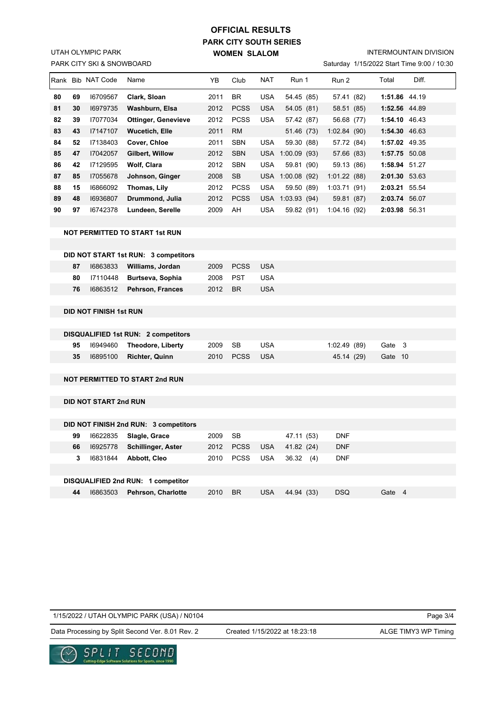## PARK CITY SKI & SNOWBOARD UTAH OLYMPIC PARK

# **PARK CITY SOUTH SERIES WOMEN SLALOM OFFICIAL RESULTS**

INTERMOUNTAIN DIVISION

Saturday 1/15/2022 Start Time 9:00 / 10:30

| Rank | <b>Bib</b> | <b>NAT Code</b> | Name                                  | YB   | Club        | <b>NAT</b> | Run 1       | Run 2        | Total         | Diff. |
|------|------------|-----------------|---------------------------------------|------|-------------|------------|-------------|--------------|---------------|-------|
| 80   | 69         | 16709567        | Clark, Sloan                          | 2011 | <b>BR</b>   | <b>USA</b> | 54.45 (85)  | 57.41 (82)   | 1:51.86 44.19 |       |
| 81   | 30         | 16979735        | Washburn, Elsa                        | 2012 | <b>PCSS</b> | <b>USA</b> | 54.05(81)   | 58.51 (85)   | 1:52.56 44.89 |       |
| 82   | 39         | 17077034        | <b>Ottinger, Genevieve</b>            | 2012 | <b>PCSS</b> | <b>USA</b> | 57.42 (87)  | 56.68 (77)   | 1:54.10 46.43 |       |
| 83   | 43         | 17147107        | <b>Wucetich, Elle</b>                 | 2011 | <b>RM</b>   |            | 51.46 (73)  | 1:02.84(90)  | 1:54.30 46.63 |       |
| 84   | 52         | 17138403        | Cover, Chloe                          | 2011 | <b>SBN</b>  | <b>USA</b> | 59.30 (88)  | 57.72 (84)   | 1:57.02 49.35 |       |
| 85   | 47         | 17042057        | Gilbert, Willow                       | 2012 | <b>SBN</b>  | <b>USA</b> | 1:00.09(93) | 57.66 (83)   | 1:57.75 50.08 |       |
| 86   | 42         | 17129595        | Wolf, Clara                           | 2012 | <b>SBN</b>  | <b>USA</b> | 59.81 (90)  | 59.13 (86)   | 1:58.94 51.27 |       |
| 87   | 85         | 17055678        | Johnson, Ginger                       | 2008 | <b>SB</b>   | USA        | 1:00.08(92) | 1:01.22(88)  | 2:01.30 53.63 |       |
| 88   | 15         | 16866092        | Thomas, Lily                          | 2012 | <b>PCSS</b> | <b>USA</b> | 59.50 (89)  | 1:03.71(91)  | 2:03.21 55.54 |       |
| 89   | 48         | 16936807        | Drummond, Julia                       | 2012 | <b>PCSS</b> | <b>USA</b> | 1:03.93(94) | 59.81 (87)   | 2:03.74 56.07 |       |
| 90   | 97         | 16742378        | Lundeen, Serelle                      | 2009 | AH          | <b>USA</b> | 59.82 (91)  | 1:04.16 (92) | 2:03.98 56.31 |       |
|      |            |                 | <b>NOT PERMITTED TO START 1st RUN</b> |      |             |            |             |              |               |       |
|      |            |                 |                                       |      |             |            |             |              |               |       |
|      |            |                 | DID NOT START 1st RUN: 3 competitors  |      |             |            |             |              |               |       |
|      | 87         | 16863833        | Williams, Jordan                      | 2009 | <b>PCSS</b> | <b>USA</b> |             |              |               |       |
|      | 80         | 17110448        | Burtseva, Sophia                      | 2008 | <b>PST</b>  | <b>USA</b> |             |              |               |       |
|      | 76         | 16863512        | Pehrson, Frances                      | 2012 | <b>BR</b>   | <b>USA</b> |             |              |               |       |
|      |            |                 |                                       |      |             |            |             |              |               |       |

#### **DID NOT FINISH 1st RUN**

|    | <b>DISQUALIFIED 1st RUN: 2 competitors</b> |      |               |     |              |         |  |
|----|--------------------------------------------|------|---------------|-----|--------------|---------|--|
|    | 95 16949460 Theodore, Liberty              | 2009 | - SB          | USA | 1:02.49 (89) | Gate 3  |  |
| 35 | 16895100 Richter. Quinn                    |      | 2010 PCSS USA |     | 45.14 (29)   | Gate 10 |  |

#### **NOT PERMITTED TO START 2nd RUN**

**DID NOT START 2nd RUN**

|    |          | DID NOT FINISH 2nd RUN: 3 competitors |      |             |            |               |            |        |
|----|----------|---------------------------------------|------|-------------|------------|---------------|------------|--------|
| 99 | 16622835 | Slagle, Grace                         | 2009 | SB          |            | 47.11 (53)    | <b>DNF</b> |        |
| 66 | 16925778 | <b>Schillinger, Aster</b>             | 2012 | <b>PCSS</b> | <b>USA</b> | 41.82 (24)    | <b>DNF</b> |        |
| 3  | 16831844 | Abbott, Cleo                          | 2010 | <b>PCSS</b> | <b>USA</b> | 36.32<br>(4)  | <b>DNF</b> |        |
|    |          |                                       |      |             |            |               |            |        |
|    |          | DISQUALIFIED 2nd RUN: 1 competitor    |      |             |            |               |            |        |
| 44 | 16863503 | Pehrson, Charlotte                    | 2010 | <b>BR</b>   | USA        | 44.94<br>(33) | <b>DSQ</b> | Gate 4 |

1/15/2022 / UTAH OLYMPIC PARK (USA) / N0104

Page 3/4

Data Processing by Split Second Ver. 8.01 Rev. 2 Created 1/15/2022 at 18:23:18 ALGE TIMY3 WP Timing

Created 1/15/2022 at 18:23:18